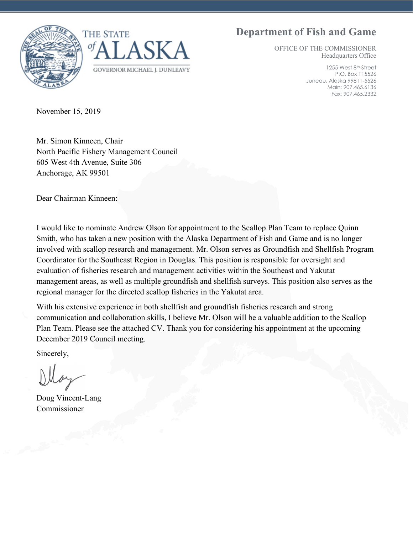### **Department of Fish and Game**





OFFICE OF THE COMMISSIONER Headquarters Office

> 1255 West 8th Street P.O. Box 115526 Juneau, Alaska 99811-5526 Main: 907.465.6136 Fax: 907.465.2332

November 15, 2019

Mr. Simon Kinneen, Chair North Pacific Fishery Management Council 605 West 4th Avenue, Suite 306 Anchorage, AK 99501

Dear Chairman Kinneen:

I would like to nominate Andrew Olson for appointment to the Scallop Plan Team to replace Quinn Smith, who has taken a new position with the Alaska Department of Fish and Game and is no longer involved with scallop research and management. Mr. Olson serves as Groundfish and Shellfish Program Coordinator for the Southeast Region in Douglas. This position is responsible for oversight and evaluation of fisheries research and management activities within the Southeast and Yakutat management areas, as well as multiple groundfish and shellfish surveys. This position also serves as the regional manager for the directed scallop fisheries in the Yakutat area.

With his extensive experience in both shellfish and groundfish fisheries research and strong communication and collaboration skills, I believe Mr. Olson will be a valuable addition to the Scallop Plan Team. Please see the attached CV. Thank you for considering his appointment at the upcoming December 2019 Council meeting.

Sincerely,

Doug Vincent-Lang Commissioner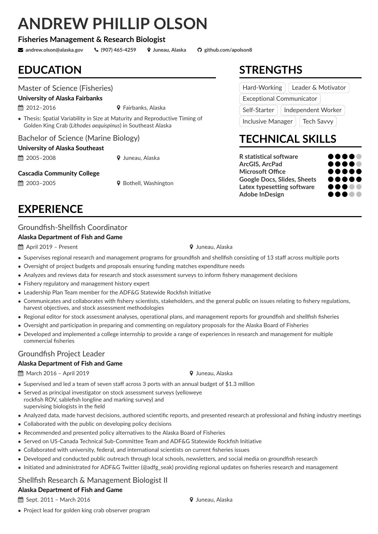# **ANDREW PHILLIP OLSON**

#### **Fisheries Management & Research Biologist**

R **andrew.olson@alaska.gov** Ó **(907) 465-4259** ½ **Juneau, Alaska github.com/apolson8**

### **EDUCATION**

#### Master of Science (Fisheries)

**University of Alaska Fairbanks**

 $\hat{=}$  2012–2016  $\hat{ }$  Fairbanks, Alaska

• Thesis: Spatial Variability in Size at Maturity and Reproductive Timing of Golden King Crab (*Lithodes aequispinus*) in Southeast Alaska

#### Bachelor of Science (Marine Biology)

#### **University of Alaska Southeast**

2005–2008 ½ Juneau, Alaska

#### **Cascadia Community College**

 $\hat{m}$  2003–2005  $\hat{V}$  Bothell, Washington

### **EXPERIENCE**

#### Groundfish-Shellfish Coordinator

#### **Alaska Department of Fish and Game**

April 2019 – Present ½ Juneau, Alaska

- Supervises regional research and management programs for groundfish and shellfish consisting of 13 staff across multiple ports
- Oversight of project budgets and proposals ensuring funding matches expenditure needs
- Analyzes and reviews data for research and stock assessment surveys to inform fishery management decisions
- Fishery regulatory and management history expert
- Leadership Plan Team member for the ADF&G Statewide Rockfish Initiative
- Communicates and collaborates with fishery scientists, stakeholders, and the general public on issues relating to fishery regulations, harvest objectives, and stock assessment methodologies
- Regional editor for stock assessment analyses, operational plans, and management reports for groundfish and shellfish fisheries
- Oversight and participation in preparing and commenting on regulatory proposals for the Alaska Board of Fisheries
- Developed and implemented a college internship to provide a range of experiences in research and management for multiple commercial fisheries

#### Groundfish Project Leader

#### **Alaska Department of Fish and Game**

 $\hat{m}$  March 2016 – April 2019  $\hat{m}$  Juneau, Alaska

- Supervised and led a team of seven staff across 3 ports with an annual budget of \$1.3 million
- Served as principal investigator on stock assessment surveys (yelloweye rockfish ROV, sablefish longline and marking survey) and supervising biologists in the field
- Analyzed data, made harvest decisions, authored scientific reports, and presented research at professional and fishing industry meetings
- Collaborated with the public on developing policy decisions
- Recommended and presented policy alternatives to the Alaska Board of Fisheries
- Served on US-Canada Technical Sub-Committee Team and ADF&G Statewide Rockfish Initiative
- Collaborated with university, federal, and international scientists on current fisheries issues
- Developed and conducted public outreach through local schools, newsletters, and social media on groundfish research
- Initiated and administrated for ADF&G Twitter (@adfg\_seak) providing regional updates on fisheries research and management

### Shellfish Research & Management Biologist II

• Project lead for golden king crab observer program

### **Alaska Department of Fish and Game**

**ش Sept. 2011 – March 2016** → Vuneau, Alaska

**STRENGTHS**

| Hard-Working                    | Leader & Motivator                |
|---------------------------------|-----------------------------------|
| <b>Exceptional Communicator</b> |                                   |
|                                 | Self-Starter   Independent Worker |
| <b>Inclusive Manager</b>        | <b>Tech Savvy</b>                 |

## **TECHNICAL SKILLS**

**R** statistical software ArcGIS, ArcPad **Microsoft Office** Google Docs, Slides, Sheets Latex typesetting software **Adobe InDesign** 

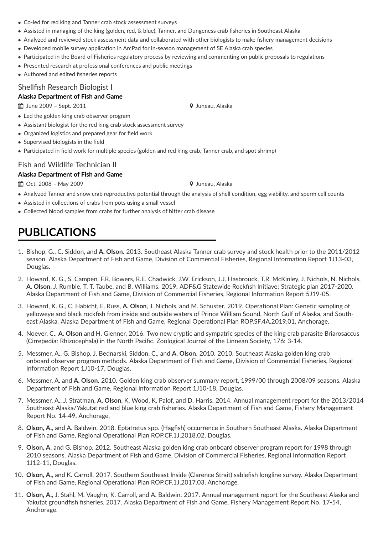- Co-led for red king and Tanner crab stock assessment surveys
- Assisted in managing of the king (golden, red, & blue), Tanner, and Dungeness crab fisheries in Southeast Alaska
- Analyzed and reviewed stock assessment data and collaborated with other biologists to make fishery management decisions
- Developed mobile survey application in ArcPad for in-season management of SE Alaska crab species
- Participated in the Board of Fisheries regulatory process by reviewing and commenting on public proposals to regulations
- Presented research at professional conferences and public meetings
- Authored and edited fisheries reports

#### Shellfish Research Biologist I

#### **Alaska Department of Fish and Game**

 $\downdownarrows$  June 2009 – Sept. 2011  $\qquad \qquad \qquad$  Juneau, Alaska

- Led the golden king crab observer program
- Assistant biologist for the red king crab stock assessment survey
- Organized logistics and prepared gear for field work
- Supervised biologists in the field
- Participated in field work for multiple species (golden and red king crab, Tanner crab, and spot shrimp)

#### Fish and Wildlife Technician II

#### **Alaska Department of Fish and Game**

 $\hat{m}$  Oct. 2008 – May 2009  $\hat{m}$  Juneau, Alaska

- Analyzed Tanner and snow crab reproductive potential through the analysis of shell condition, egg viability, and sperm cell counts
- Assisted in collections of crabs from pots using a small vessel
- Collected blood samples from crabs for further analysis of bitter crab disease

### **PUBLICATIONS**

- 1. Bishop, G., C. Siddon, and **A. Olson**. 2013. Southeast Alaska Tanner crab survey and stock health prior to the 2011/2012 season. Alaska Department of Fish and Game, Division of Commercial Fisheries, Regional Information Report 1J13-03, Douglas.
- 2. Howard, K. G., S. Campen, F.R. Bowers, R.E. Chadwick, J.W. Erickson, J.J. Hasbrouck, T.R. McKinley, J. Nichols, N. Nichols, **A. Olson**, J. Rumble, T. T. Taube, and B. Williams. 2019. ADF&G Statewide Rockfish Initiave: Strategic plan 2017-2020. Alaska Department of Fish and Game, Division of Commercial Fisheries, Regional Information Report 5J19-05.
- 3. Howard, K. G., C. Habicht, E. Russ, **A. Olson**, J. Nichols, and M. Schuster. 2019. Operational Plan: Genetic sampling of yelloweye and black rockfish from inside and outside waters of Prince William Sound, North Gulf of Alaska, and Southeast Alaska. Alaska Department of Fish and Game, Regional Operational Plan ROP.SF.4A.2019.01, Anchorage.
- 4. Noever, C., **A. Olson** and H. Glenner, 2016. Two new cryptic and sympatric species of the king crab parasite Briarosaccus (Cirrepedia: Rhizocephala) in the North Pacific. Zoological Journal of the Linnean Society, 176: 3-14.
- 5. Messmer, A., G. Bishop, J. Bednarski, Siddon, C., and **A. Olson**. 2010. 2010. Southeast Alaska golden king crab onboard observer program methods. Alaska Department of Fish and Game, Division of Commercial Fisheries, Regional Information Report 1J10-17, Douglas.
- 6. Messmer, A. and **A. Olson**. 2010. Golden king crab observer summary report, 1999/00 through 2008/09 seasons. Alaska Department of Fish and Game, Regional Information Report 1J10-18, Douglas.
- 7. Messmer, A., J. Stratman, **A. Olson**, K. Wood, K. Palof, and D. Harris. 2014. Annual management report for the 2013/2014 Southeast Alaska/Yakutat red and blue king crab fisheries. Alaska Department of Fish and Game, Fishery Management Report No. 14-49, Anchorage.
- 8. **Olson, A.**, and A. Baldwin. 2018. Eptatretus spp. (Hagfish) occurrence in Southern Southeast Alaska. Alaska Department of Fish and Game, Regional Operational Plan ROP.CF.1J.2018.02, Douglas.
- 9. **Olson, A.** and G. Bishop. 2012. Southeast Alaska golden king crab onboard observer program report for 1998 through 2010 seasons. Alaska Department of Fish and Game, Division of Commercial Fisheries, Regional Information Report 1J12-11, Douglas.
- 10. **Olson, A.**, and K. Carroll. 2017. Southern Southeast Inside (Clarence Strait) sablefish longline survey. Alaska Department of Fish and Game, Regional Operational Plan ROP.CF.1J.2017.03, Anchorage.
- 11. **Olson, A.**, J. Stahl, M. Vaughn, K. Carroll, and A. Baldwin. 2017. Annual management report for the Southeast Alaska and Yakutat groundfish fisheries, 2017. Alaska Department of Fish and Game, Fishery Management Report No. 17-54, Anchorage.